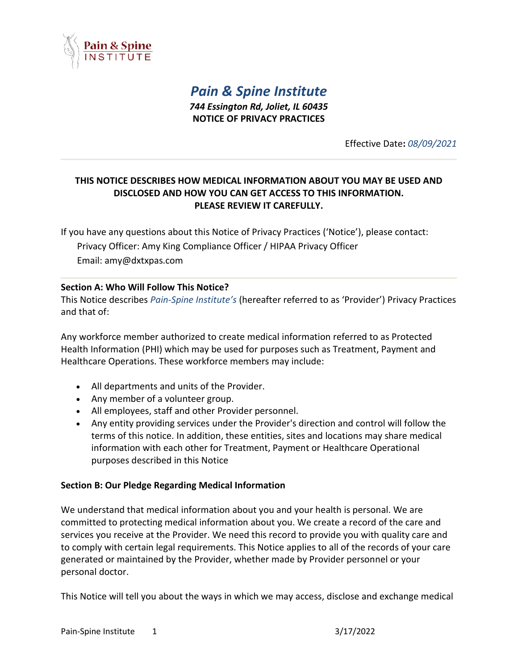

*Pain & Spine Institute 744 Essington Rd, Joliet, IL 60435* **NOTICE OF PRIVACY PRACTICES**

Effective Date**:** *08/09/2021*

# **THIS NOTICE DESCRIBES HOW MEDICAL INFORMATION ABOUT YOU MAY BE USED AND DISCLOSED AND HOW YOU CAN GET ACCESS TO THIS INFORMATION. PLEASE REVIEW IT CAREFULLY.**

If you have any questions about this Notice of Privacy Practices ('Notice'), please contact: Privacy Officer: Amy King Compliance Officer / HIPAA Privacy Officer Email: amy@dxtxpas.com

# **Section A: Who Will Follow This Notice?**

This Notice describes *Pain-Spine Institute's* (hereafter referred to as 'Provider') Privacy Practices and that of:

Any workforce member authorized to create medical information referred to as Protected Health Information (PHI) which may be used for purposes such as Treatment, Payment and Healthcare Operations. These workforce members may include:

- All departments and units of the Provider.
- Any member of a volunteer group.
- All employees, staff and other Provider personnel.
- Any entity providing services under the Provider's direction and control will follow the terms of this notice. In addition, these entities, sites and locations may share medical information with each other for Treatment, Payment or Healthcare Operational purposes described in this Notice

# **Section B: Our Pledge Regarding Medical Information**

We understand that medical information about you and your health is personal. We are committed to protecting medical information about you. We create a record of the care and services you receive at the Provider. We need this record to provide you with quality care and to comply with certain legal requirements. This Notice applies to all of the records of your care generated or maintained by the Provider, whether made by Provider personnel or your personal doctor.

This Notice will tell you about the ways in which we may access, disclose and exchange medical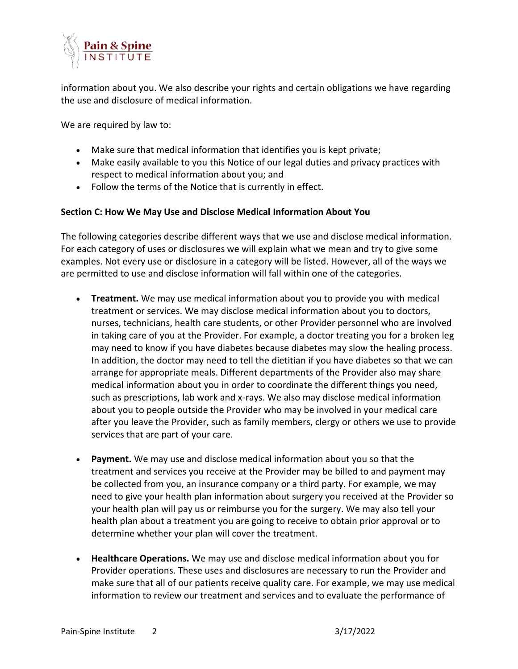

information about you. We also describe your rights and certain obligations we have regarding the use and disclosure of medical information.

We are required by law to:

- Make sure that medical information that identifies you is kept private;
- Make easily available to you this Notice of our legal duties and privacy practices with respect to medical information about you; and
- Follow the terms of the Notice that is currently in effect.

## **Section C: How We May Use and Disclose Medical Information About You**

The following categories describe different ways that we use and disclose medical information. For each category of uses or disclosures we will explain what we mean and try to give some examples. Not every use or disclosure in a category will be listed. However, all of the ways we are permitted to use and disclose information will fall within one of the categories.

- **Treatment.** We may use medical information about you to provide you with medical treatment or services. We may disclose medical information about you to doctors, nurses, technicians, health care students, or other Provider personnel who are involved in taking care of you at the Provider. For example, a doctor treating you for a broken leg may need to know if you have diabetes because diabetes may slow the healing process. In addition, the doctor may need to tell the dietitian if you have diabetes so that we can arrange for appropriate meals. Different departments of the Provider also may share medical information about you in order to coordinate the different things you need, such as prescriptions, lab work and x-rays. We also may disclose medical information about you to people outside the Provider who may be involved in your medical care after you leave the Provider, such as family members, clergy or others we use to provide services that are part of your care.
- **Payment.** We may use and disclose medical information about you so that the treatment and services you receive at the Provider may be billed to and payment may be collected from you, an insurance company or a third party. For example, we may need to give your health plan information about surgery you received at the Provider so your health plan will pay us or reimburse you for the surgery. We may also tell your health plan about a treatment you are going to receive to obtain prior approval or to determine whether your plan will cover the treatment.
- **Healthcare Operations.** We may use and disclose medical information about you for Provider operations. These uses and disclosures are necessary to run the Provider and make sure that all of our patients receive quality care. For example, we may use medical information to review our treatment and services and to evaluate the performance of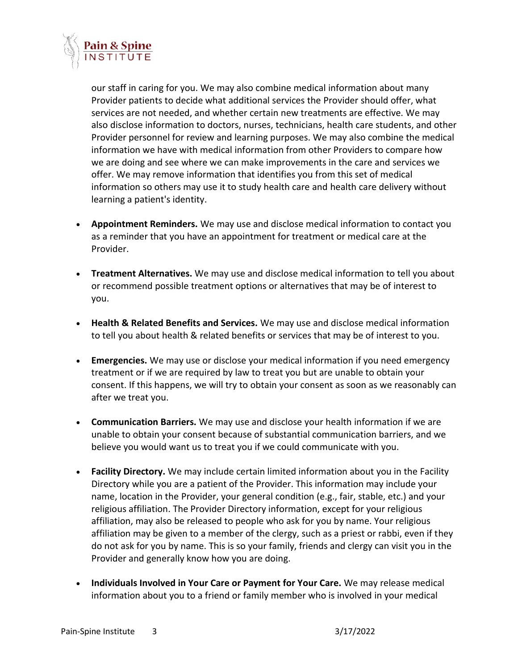

our staff in caring for you. We may also combine medical information about many Provider patients to decide what additional services the Provider should offer, what services are not needed, and whether certain new treatments are effective. We may also disclose information to doctors, nurses, technicians, health care students, and other Provider personnel for review and learning purposes. We may also combine the medical information we have with medical information from other Providers to compare how we are doing and see where we can make improvements in the care and services we offer. We may remove information that identifies you from this set of medical information so others may use it to study health care and health care delivery without learning a patient's identity.

- **Appointment Reminders.** We may use and disclose medical information to contact you as a reminder that you have an appointment for treatment or medical care at the Provider.
- **Treatment Alternatives.** We may use and disclose medical information to tell you about or recommend possible treatment options or alternatives that may be of interest to you.
- **Health & Related Benefits and Services.** We may use and disclose medical information to tell you about health & related benefits or services that may be of interest to you.
- **Emergencies.** We may use or disclose your medical information if you need emergency treatment or if we are required by law to treat you but are unable to obtain your consent. If this happens, we will try to obtain your consent as soon as we reasonably can after we treat you.
- **Communication Barriers.** We may use and disclose your health information if we are unable to obtain your consent because of substantial communication barriers, and we believe you would want us to treat you if we could communicate with you.
- **Facility Directory.** We may include certain limited information about you in the Facility Directory while you are a patient of the Provider. This information may include your name, location in the Provider, your general condition (e.g., fair, stable, etc.) and your religious affiliation. The Provider Directory information, except for your religious affiliation, may also be released to people who ask for you by name. Your religious affiliation may be given to a member of the clergy, such as a priest or rabbi, even if they do not ask for you by name. This is so your family, friends and clergy can visit you in the Provider and generally know how you are doing.
- **Individuals Involved in Your Care or Payment for Your Care.** We may release medical information about you to a friend or family member who is involved in your medical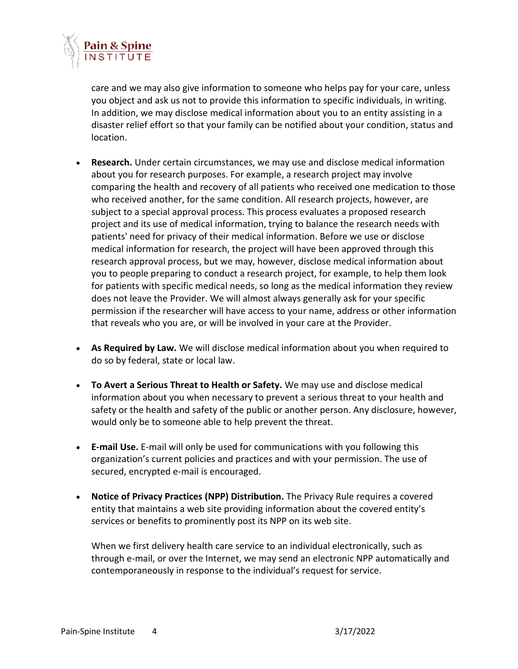

care and we may also give information to someone who helps pay for your care, unless you object and ask us not to provide this information to specific individuals, in writing. In addition, we may disclose medical information about you to an entity assisting in a disaster relief effort so that your family can be notified about your condition, status and location.

- **Research.** Under certain circumstances, we may use and disclose medical information about you for research purposes. For example, a research project may involve comparing the health and recovery of all patients who received one medication to those who received another, for the same condition. All research projects, however, are subject to a special approval process. This process evaluates a proposed research project and its use of medical information, trying to balance the research needs with patients' need for privacy of their medical information. Before we use or disclose medical information for research, the project will have been approved through this research approval process, but we may, however, disclose medical information about you to people preparing to conduct a research project, for example, to help them look for patients with specific medical needs, so long as the medical information they review does not leave the Provider. We will almost always generally ask for your specific permission if the researcher will have access to your name, address or other information that reveals who you are, or will be involved in your care at the Provider.
- **As Required by Law.** We will disclose medical information about you when required to do so by federal, state or local law.
- **To Avert a Serious Threat to Health or Safety.** We may use and disclose medical information about you when necessary to prevent a serious threat to your health and safety or the health and safety of the public or another person. Any disclosure, however, would only be to someone able to help prevent the threat.
- **E-mail Use.** E-mail will only be used for communications with you following this organization's current policies and practices and with your permission. The use of secured, encrypted e-mail is encouraged.
- **Notice of Privacy Practices (NPP) Distribution.** The Privacy Rule requires a covered entity that maintains a web site providing information about the covered entity's services or benefits to prominently post its NPP on its web site.

When we first delivery health care service to an individual electronically, such as through e-mail, or over the Internet, we may send an electronic NPP automatically and contemporaneously in response to the individual's request for service.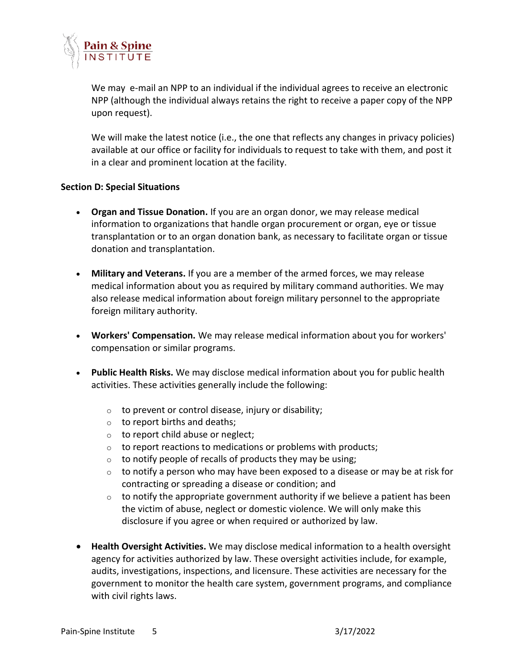

We may e-mail an NPP to an individual if the individual agrees to receive an electronic NPP (although the individual always retains the right to receive a paper copy of the NPP upon request).

We will make the latest notice (i.e., the one that reflects any changes in privacy policies) available at our office or facility for individuals to request to take with them, and post it in a clear and prominent location at the facility.

## **Section D: Special Situations**

- **Organ and Tissue Donation.** If you are an organ donor, we may release medical information to organizations that handle organ procurement or organ, eye or tissue transplantation or to an organ donation bank, as necessary to facilitate organ or tissue donation and transplantation.
- **Military and Veterans.** If you are a member of the armed forces, we may release medical information about you as required by military command authorities. We may also release medical information about foreign military personnel to the appropriate foreign military authority.
- **Workers' Compensation.** We may release medical information about you for workers' compensation or similar programs.
- **Public Health Risks.** We may disclose medical information about you for public health activities. These activities generally include the following:
	- $\circ$  to prevent or control disease, injury or disability;
	- $\circ$  to report births and deaths;
	- o to report child abuse or neglect;
	- $\circ$  to report reactions to medications or problems with products;
	- $\circ$  to notify people of recalls of products they may be using;
	- $\circ$  to notify a person who may have been exposed to a disease or may be at risk for contracting or spreading a disease or condition; and
	- $\circ$  to notify the appropriate government authority if we believe a patient has been the victim of abuse, neglect or domestic violence. We will only make this disclosure if you agree or when required or authorized by law.
- **Health Oversight Activities.** We may disclose medical information to a health oversight agency for activities authorized by law. These oversight activities include, for example, audits, investigations, inspections, and licensure. These activities are necessary for the government to monitor the health care system, government programs, and compliance with civil rights laws.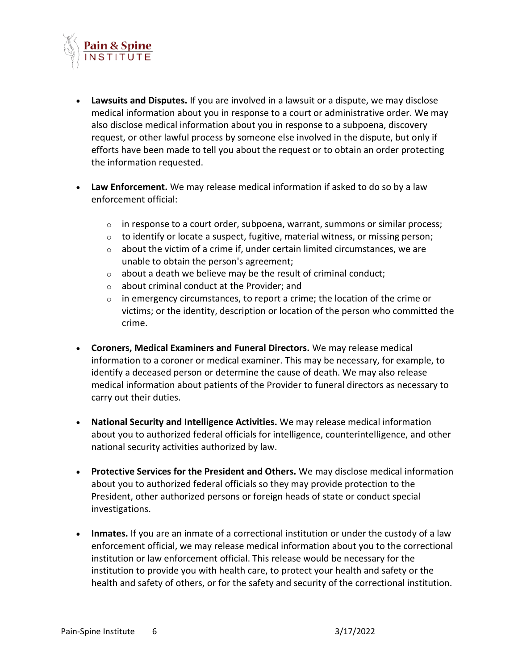

- **Lawsuits and Disputes.** If you are involved in a lawsuit or a dispute, we may disclose medical information about you in response to a court or administrative order. We may also disclose medical information about you in response to a subpoena, discovery request, or other lawful process by someone else involved in the dispute, but only if efforts have been made to tell you about the request or to obtain an order protecting the information requested.
- **Law Enforcement.** We may release medical information if asked to do so by a law enforcement official:
	- $\circ$  in response to a court order, subpoena, warrant, summons or similar process;
	- $\circ$  to identify or locate a suspect, fugitive, material witness, or missing person;
	- $\circ$  about the victim of a crime if, under certain limited circumstances, we are unable to obtain the person's agreement;
	- $\circ$  about a death we believe may be the result of criminal conduct;
	- o about criminal conduct at the Provider; and
	- $\circ$  in emergency circumstances, to report a crime; the location of the crime or victims; or the identity, description or location of the person who committed the crime.
- **Coroners, Medical Examiners and Funeral Directors.** We may release medical information to a coroner or medical examiner. This may be necessary, for example, to identify a deceased person or determine the cause of death. We may also release medical information about patients of the Provider to funeral directors as necessary to carry out their duties.
- **National Security and Intelligence Activities.** We may release medical information about you to authorized federal officials for intelligence, counterintelligence, and other national security activities authorized by law.
- **Protective Services for the President and Others.** We may disclose medical information about you to authorized federal officials so they may provide protection to the President, other authorized persons or foreign heads of state or conduct special investigations.
- **Inmates.** If you are an inmate of a correctional institution or under the custody of a law enforcement official, we may release medical information about you to the correctional institution or law enforcement official. This release would be necessary for the institution to provide you with health care, to protect your health and safety or the health and safety of others, or for the safety and security of the correctional institution.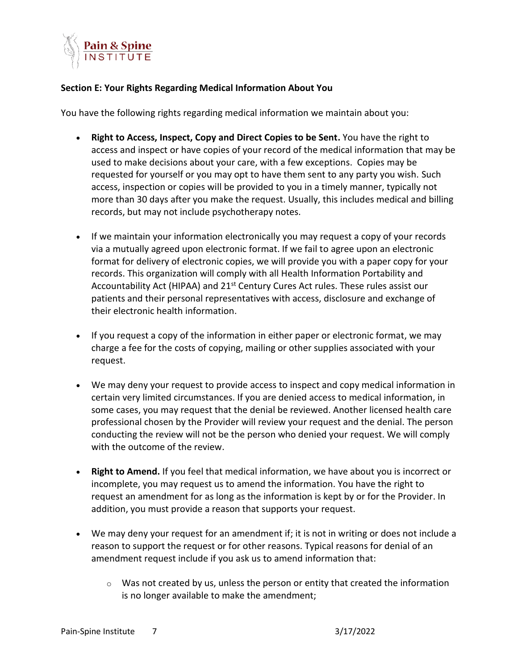

# **Section E: Your Rights Regarding Medical Information About You**

You have the following rights regarding medical information we maintain about you:

- **Right to Access, Inspect, Copy and Direct Copies to be Sent.** You have the right to access and inspect or have copies of your record of the medical information that may be used to make decisions about your care, with a few exceptions. Copies may be requested for yourself or you may opt to have them sent to any party you wish. Such access, inspection or copies will be provided to you in a timely manner, typically not more than 30 days after you make the request. Usually, this includes medical and billing records, but may not include psychotherapy notes.
- If we maintain your information electronically you may request a copy of your records via a mutually agreed upon electronic format. If we fail to agree upon an electronic format for delivery of electronic copies, we will provide you with a paper copy for your records. This organization will comply with all Health Information Portability and Accountability Act (HIPAA) and 21<sup>st</sup> Century Cures Act rules. These rules assist our patients and their personal representatives with access, disclosure and exchange of their electronic health information.
- If you request a copy of the information in either paper or electronic format, we may charge a fee for the costs of copying, mailing or other supplies associated with your request.
- We may deny your request to provide access to inspect and copy medical information in certain very limited circumstances. If you are denied access to medical information, in some cases, you may request that the denial be reviewed. Another licensed health care professional chosen by the Provider will review your request and the denial. The person conducting the review will not be the person who denied your request. We will comply with the outcome of the review.
- **Right to Amend.** If you feel that medical information, we have about you is incorrect or incomplete, you may request us to amend the information. You have the right to request an amendment for as long as the information is kept by or for the Provider. In addition, you must provide a reason that supports your request.
- We may deny your request for an amendment if; it is not in writing or does not include a reason to support the request or for other reasons. Typical reasons for denial of an amendment request include if you ask us to amend information that:
	- $\circ$  Was not created by us, unless the person or entity that created the information is no longer available to make the amendment;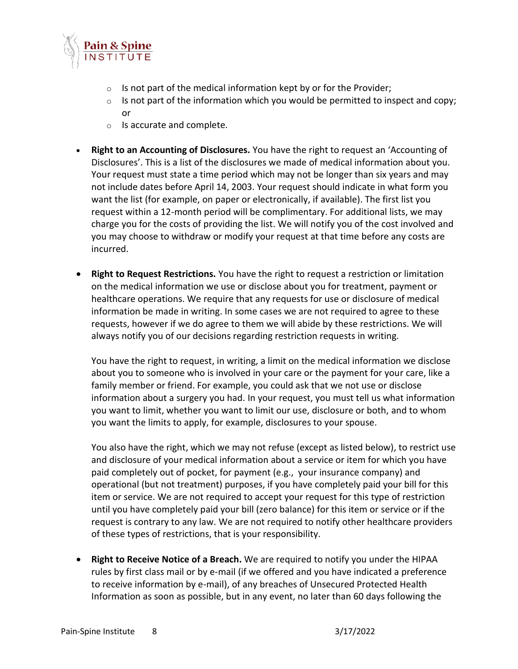

- $\circ$  Is not part of the medical information kept by or for the Provider;
- $\circ$  Is not part of the information which you would be permitted to inspect and copy; or
- o Is accurate and complete.
- **Right to an Accounting of Disclosures.** You have the right to request an 'Accounting of Disclosures'. This is a list of the disclosures we made of medical information about you. Your request must state a time period which may not be longer than six years and may not include dates before April 14, 2003. Your request should indicate in what form you want the list (for example, on paper or electronically, if available). The first list you request within a 12-month period will be complimentary. For additional lists, we may charge you for the costs of providing the list. We will notify you of the cost involved and you may choose to withdraw or modify your request at that time before any costs are incurred.
- **Right to Request Restrictions.** You have the right to request a restriction or limitation on the medical information we use or disclose about you for treatment, payment or healthcare operations. We require that any requests for use or disclosure of medical information be made in writing. In some cases we are not required to agree to these requests, however if we do agree to them we will abide by these restrictions. We will always notify you of our decisions regarding restriction requests in writing.

You have the right to request, in writing, a limit on the medical information we disclose about you to someone who is involved in your care or the payment for your care, like a family member or friend. For example, you could ask that we not use or disclose information about a surgery you had. In your request, you must tell us what information you want to limit, whether you want to limit our use, disclosure or both, and to whom you want the limits to apply, for example, disclosures to your spouse.

You also have the right, which we may not refuse (except as listed below), to restrict use and disclosure of your medical information about a service or item for which you have paid completely out of pocket, for payment (e.g., your insurance company) and operational (but not treatment) purposes, if you have completely paid your bill for this item or service. We are not required to accept your request for this type of restriction until you have completely paid your bill (zero balance) for this item or service or if the request is contrary to any law. We are not required to notify other healthcare providers of these types of restrictions, that is your responsibility.

• **Right to Receive Notice of a Breach.** We are required to notify you under the HIPAA rules by first class mail or by e-mail (if we offered and you have indicated a preference to receive information by e-mail), of any breaches of Unsecured Protected Health Information as soon as possible, but in any event, no later than 60 days following the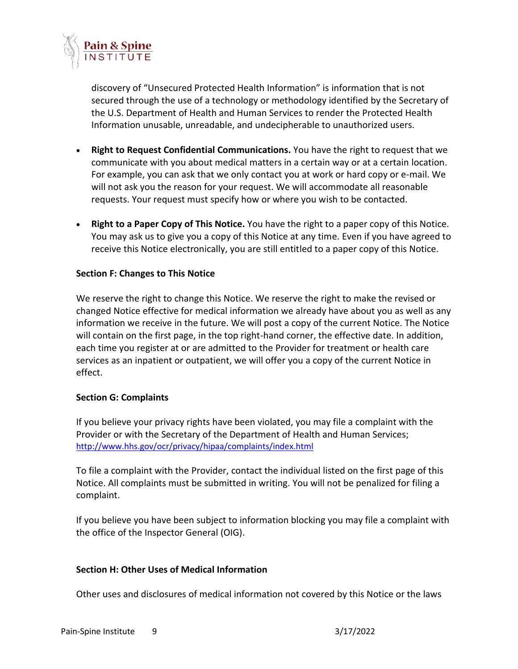

discovery of "Unsecured Protected Health Information" is information that is not secured through the use of a technology or methodology identified by the Secretary of the U.S. Department of Health and Human Services to render the Protected Health Information unusable, unreadable, and undecipherable to unauthorized users.

- **Right to Request Confidential Communications.** You have the right to request that we communicate with you about medical matters in a certain way or at a certain location. For example, you can ask that we only contact you at work or hard copy or e-mail. We will not ask you the reason for your request. We will accommodate all reasonable requests. Your request must specify how or where you wish to be contacted.
- **Right to a Paper Copy of This Notice.** You have the right to a paper copy of this Notice. You may ask us to give you a copy of this Notice at any time. Even if you have agreed to receive this Notice electronically, you are still entitled to a paper copy of this Notice.

## **Section F: Changes to This Notice**

We reserve the right to change this Notice. We reserve the right to make the revised or changed Notice effective for medical information we already have about you as well as any information we receive in the future. We will post a copy of the current Notice. The Notice will contain on the first page, in the top right-hand corner, the effective date. In addition, each time you register at or are admitted to the Provider for treatment or health care services as an inpatient or outpatient, we will offer you a copy of the current Notice in effect.

## **Section G: Complaints**

If you believe your privacy rights have been violated, you may file a complaint with the Provider or with the Secretary of the Department of Health and Human Services; <http://www.hhs.gov/ocr/privacy/hipaa/complaints/index.html>

To file a complaint with the Provider, contact the individual listed on the first page of this Notice. All complaints must be submitted in writing. You will not be penalized for filing a complaint.

If you believe you have been subject to information blocking you may file a complaint with the office of the Inspector General (OIG).

## **Section H: Other Uses of Medical Information**

Other uses and disclosures of medical information not covered by this Notice or the laws